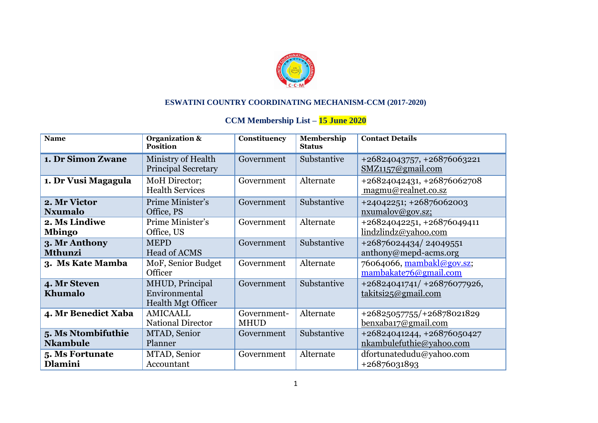

## **ESWATINI COUNTRY COORDINATING MECHANISM-CCM (2017-2020)**

## **CCM Membership List – 15 June 2020**

| <b>Name</b>                           | <b>Organization &amp;</b><br><b>Position</b>                  | <b>Constituency</b>        | Membership<br><b>Status</b> | <b>Contact Details</b>                                 |
|---------------------------------------|---------------------------------------------------------------|----------------------------|-----------------------------|--------------------------------------------------------|
| 1. Dr Simon Zwane                     | Ministry of Health<br><b>Principal Secretary</b>              | Government                 | Substantive                 | +26824043757, +26876063221<br>SMZ1157@gmail.com        |
| 1. Dr Vusi Magagula                   | MoH Director;<br><b>Health Services</b>                       | Government                 | Alternate                   | +26824042431, +26876062708<br>magmu@realnet.co.sz      |
| 2. Mr Victor<br><b>Nxumalo</b>        | Prime Minister's<br>Office, PS                                | Government                 | Substantive                 | $+24042251$ ; $+26876062003$<br>nxumalov@gov.sz;       |
| 2. Ms Lindiwe<br><b>Mbingo</b>        | Prime Minister's<br>Office, US                                | Government                 | Alternate                   | +26824042251, +26876049411<br>lindzlindz@yahoo.com     |
| 3. Mr Anthony<br><b>Mthunzi</b>       | <b>MEPD</b><br><b>Head of ACMS</b>                            | Government                 | Substantive                 | +26876024434/24049551<br>anthony@mepd-acms.org         |
| 3. Ms Kate Mamba                      | MoF, Senior Budget<br>Officer                                 | Government                 | Alternate                   | 76064066, mambakl@gov.sz;<br>mambakate76@gmail.com     |
| 4. Mr Steven<br>Khumalo               | MHUD, Principal<br>Environmental<br><b>Health Mgt Officer</b> | Government                 | Substantive                 | $+26824041741/ +26876077926,$<br>takitsi25@gmail.com   |
| 4. Mr Benedict Xaba                   | <b>AMICAALL</b><br><b>National Director</b>                   | Government-<br><b>MHUD</b> | Alternate                   | +26825057755/+26878021829<br>benxaba17@gmail.com       |
| 5. Ms Ntombifuthie<br><b>Nkambule</b> | MTAD, Senior<br>Planner                                       | Government                 | Substantive                 | +26824041244, +26876050427<br>nkambulefuthie@yahoo.com |
| 5. Ms Fortunate<br>Dlamini            | MTAD, Senior<br>Accountant                                    | Government                 | Alternate                   | dfortunatedudu@yahoo.com<br>+26876031893               |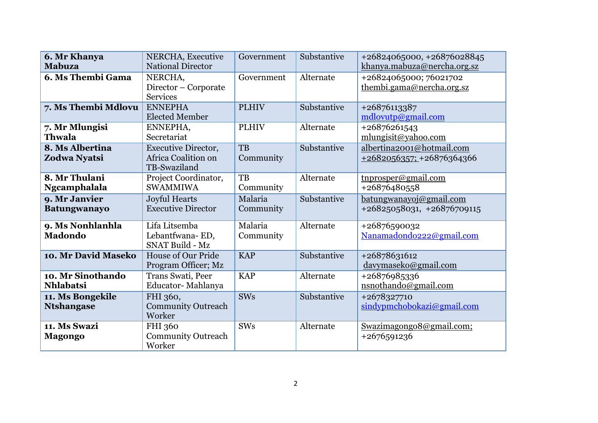| 6. Mr Khanya<br><b>Mabuza</b>         | NERCHA, Executive<br><b>National Director</b>                     | Government           | Substantive | +26824065000, +26876028845<br>khanya.mabuza@nercha.org.sz |
|---------------------------------------|-------------------------------------------------------------------|----------------------|-------------|-----------------------------------------------------------|
| 6. Ms Thembi Gama                     | NERCHA,<br>Director – Corporate<br><b>Services</b>                | Government           | Alternate   | +26824065000; 76021702<br>thembi.gama@nercha.org.sz       |
| 7. Ms Thembi Mdlovu                   | <b>ENNEPHA</b><br><b>Elected Member</b>                           | <b>PLHIV</b>         | Substantive | +26876113387<br>mdlovutp@gmail.com                        |
| 7. Mr Mlungisi<br><b>Thwala</b>       | ENNEPHA,<br>Secretariat                                           | <b>PLHIV</b>         | Alternate   | +26876261543<br>mlungisit@yahoo.com                       |
| 8. Ms Albertina<br>Zodwa Nyatsi       | <b>Executive Director,</b><br>Africa Coalition on<br>TB-Swaziland | TB<br>Community      | Substantive | albertina2001@hotmail.com<br>$+2682056357$ ; +26876364366 |
| 8. Mr Thulani<br>Ngcamphalala         | Project Coordinator,<br><b>SWAMMIWA</b>                           | TB<br>Community      | Alternate   | tnprosper@gmail.com<br>+26876480558                       |
| 9. Mr Janvier<br><b>Batungwanayo</b>  | <b>Joyful Hearts</b><br><b>Executive Director</b>                 | Malaria<br>Community | Substantive | batungwanayoj@gmail.com<br>+26825058031, +26876709115     |
| 9. Ms Nonhlanhla<br><b>Madondo</b>    | Lifa Litsemba<br>Lebantfwana-ED,<br><b>SNAT Build - Mz</b>        | Malaria<br>Community | Alternate   | +26876590032<br>Nanamadondo222@gmail.com                  |
| 10. Mr David Maseko                   | <b>House of Our Pride</b><br>Program Officer; Mz                  | <b>KAP</b>           | Substantive | +26878631612<br>davymaseko@gmail.com                      |
| 10. Mr Sinothando<br><b>Nhlabatsi</b> | Trans Swati, Peer<br>Educator-Mahlanya                            | <b>KAP</b>           | Alternate   | +26876985336<br>nsnothando@gmail.com                      |
| 11. Ms Bongekile<br><b>Ntshangase</b> | FHI 360,<br><b>Community Outreach</b><br>Worker                   | <b>SWs</b>           | Substantive | +2678327710<br>sindypmchobokazi@gmail.com                 |
| 11. Ms Swazi<br><b>Magongo</b>        | FHI 360<br><b>Community Outreach</b><br>Worker                    | <b>SWs</b>           | Alternate   | Swazimagongo8@gmail.com;<br>+2676591236                   |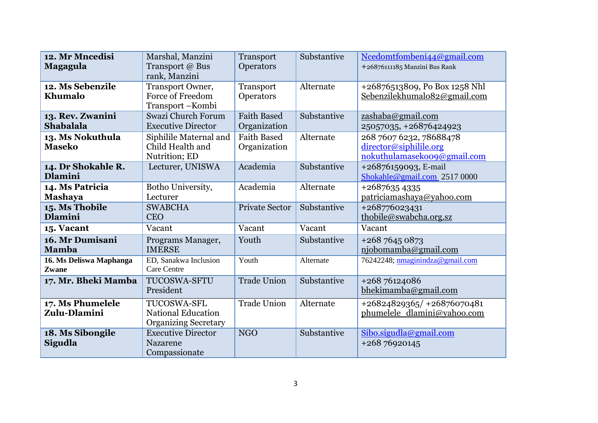| 12. Mr Mncedisi<br><b>Magagula</b>   | Marshal, Manzini<br>Transport @ Bus<br>rank, Manzini                    | Transport<br>Operators             | Substantive | Ncedomtfombeni44@gmail.com<br>+26876111185 Manzini Bus Rank                      |
|--------------------------------------|-------------------------------------------------------------------------|------------------------------------|-------------|----------------------------------------------------------------------------------|
| 12. Ms Sebenzile<br>Khumalo          | Transport Owner,<br><b>Force of Freedom</b><br>Transport-Kombi          | Transport<br>Operators             | Alternate   | +26876513809, Po Box 1258 Nhl<br>Sebenzilekhumalo82@gmail.com                    |
| 13. Rev. Zwanini<br><b>Shabalala</b> | Swazi Church Forum<br><b>Executive Director</b>                         | <b>Faith Based</b><br>Organization | Substantive | zashaba@gmail.com<br>25057035, +26876424923                                      |
| 13. Ms Nokuthula<br><b>Maseko</b>    | Siphilile Maternal and<br>Child Health and<br>Nutrition; ED             | <b>Faith Based</b><br>Organization | Alternate   | 268 7607 6232, 78688478<br>director@siphilile.org<br>nokuthulamasekoo9@gmail.com |
| 14. Dr Shokahle R.<br><b>Dlamini</b> | Lecturer, UNISWA                                                        | Academia                           | Substantive | +26876159093, E-mail<br>Shokahle@gmail.com 2517 0000                             |
| 14. Ms Patricia<br><b>Mashaya</b>    | Botho University,<br>Lecturer                                           | Academia                           | Alternate   | $+26876354335$<br>patriciamashaya@yahoo.com                                      |
| 15. Ms Thobile<br><b>Dlamini</b>     | <b>SWABCHA</b><br><b>CEO</b>                                            | <b>Private Sector</b>              | Substantive | +268776023431<br>thobile@swabcha.org.sz                                          |
| 15. Vacant                           | Vacant                                                                  | Vacant                             | Vacant      | Vacant                                                                           |
| 16. Mr Dumisani<br><b>Mamba</b>      | Programs Manager,<br><b>IMERSE</b>                                      | Youth                              | Substantive | +268 7645 0873<br>njobomamba@gmail.com                                           |
| 16. Ms Deliswa Maphanga<br>Zwane     | ED, Sanakwa Inclusion<br><b>Care Centre</b>                             | Youth                              | Alternate   | 76242248; nmaginindza@gmail.com                                                  |
| 17. Mr. Bheki Mamba                  | TUCOSWA-SFTU<br>President                                               | <b>Trade Union</b>                 | Substantive | +268 76124086<br>bhekimamba@gmail.com                                            |
| 17. Ms Phumelele<br>Zulu-Dlamini     | TUCOSWA-SFL<br><b>National Education</b><br><b>Organizing Secretary</b> | <b>Trade Union</b>                 | Alternate   | +26824829365/ +26876070481<br>phumelele dlamini@yahoo.com                        |
| 18. Ms Sibongile<br><b>Sigudla</b>   | <b>Executive Director</b><br>Nazarene<br>Compassionate                  | <b>NGO</b>                         | Substantive | Sibo.sigudla@gmail.com<br>+268 76920145                                          |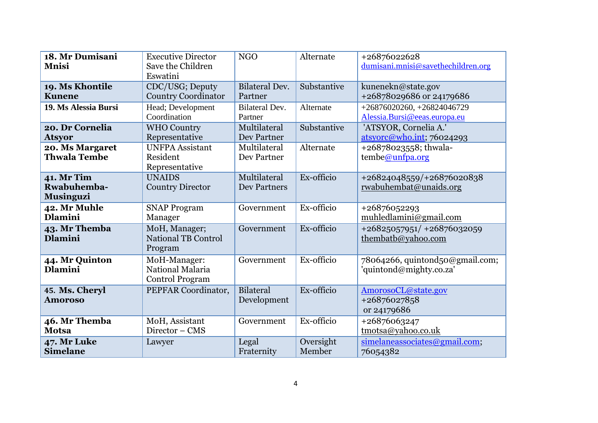| 18. Mr Dumisani<br><b>Mnisi</b>                      | <b>Executive Director</b><br>Save the Children<br>Eswatini | <b>NGO</b>                          | Alternate           | +26876022628<br>dumisani.mnisi@savethechildren.org           |
|------------------------------------------------------|------------------------------------------------------------|-------------------------------------|---------------------|--------------------------------------------------------------|
| 19. Ms Khontile<br><b>Kunene</b>                     | CDC/USG; Deputy<br><b>Country Coordinator</b>              | <b>Bilateral Dev.</b><br>Partner    | Substantive         | kunenekn@state.gov<br>+26878029686 or 24179686               |
| 19. Ms Alessia Bursi                                 | Head; Development<br>Coordination                          | <b>Bilateral Dev.</b><br>Partner    | Alternate           | $+26876020260, +26824046729$<br>Alessia.Bursi@eeas.europa.eu |
| 20. Dr Cornelia<br>Atsyor                            | <b>WHO Country</b><br>Representative                       | Multilateral<br>Dev Partner         | Substantive         | 'ATSYOR, Cornelia A.'<br>atsyorc@who.int; 76024293           |
| 20. Ms Margaret<br><b>Thwala Tembe</b>               | <b>UNFPA</b> Assistant<br>Resident<br>Representative       | Multilateral<br>Dev Partner         | Alternate           | +26878023558; thwala-<br>tembe@unfpa.org                     |
| 41. Mr Tim<br><b>Rwabuhemba-</b><br><b>Musinguzi</b> | <b>UNAIDS</b><br><b>Country Director</b>                   | Multilateral<br><b>Dev Partners</b> | Ex-officio          | +26824048559/+26876020838<br>rwabuhembat@unaids.org          |
| <b>42. Mr Muhle</b><br><b>Dlamini</b>                | <b>SNAP Program</b><br>Manager                             | Government                          | Ex-officio          | +26876052293<br>muhledlamini@gmail.com                       |
| 43. Mr Themba<br><b>Dlamini</b>                      | MoH, Manager;<br><b>National TB Control</b><br>Program     | Government                          | Ex-officio          | +26825057951/ +26876032059<br>thembatb@yahoo.com             |
| 44. Mr Quinton<br><b>Dlamini</b>                     | MoH-Manager:<br>National Malaria<br><b>Control Program</b> | Government                          | Ex-officio          | 78064266, quintond50@gmail.com;<br>'quintond@mighty.co.za'   |
| 45. Ms. Cheryl<br>Amoroso                            | PEPFAR Coordinator,                                        | Bilateral<br>Development            | Ex-officio          | AmorosoCL@state.gov<br>+26876027858<br>or 24179686           |
| 46. Mr Themba<br><b>Motsa</b>                        | MoH, Assistant<br>Director - CMS                           | Government                          | Ex-officio          | +26876063247<br>tmotsa@yahoo.co.uk                           |
| <b>47. Mr Luke</b><br><b>Simelane</b>                | Lawyer                                                     | Legal<br>Fraternity                 | Oversight<br>Member | simelaneassociates@gmail.com;<br>76054382                    |